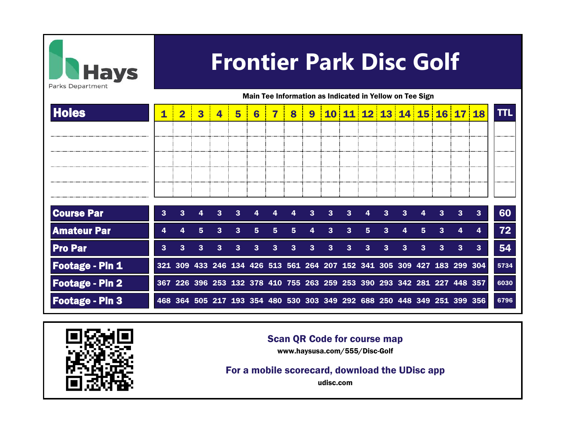

## **Frontier Park Disc Golf**

Main Tee Information as Indicated in Yellow on Tee Sign

| <b>Holes</b>           |   | $\overline{\mathbf{2}}$                                                 | 3            | 4            | 5 | $6\phantom{1}6$ | 7 | 8 | $\boldsymbol{9}$ |              |              |   | 10 11 12 13 14 15 16 17 18 |              |              |   |              |                | TΤL            |
|------------------------|---|-------------------------------------------------------------------------|--------------|--------------|---|-----------------|---|---|------------------|--------------|--------------|---|----------------------------|--------------|--------------|---|--------------|----------------|----------------|
|                        |   |                                                                         |              |              |   |                 |   |   |                  |              |              |   |                            |              |              |   |              |                |                |
|                        |   |                                                                         |              |              |   |                 |   |   |                  |              |              |   |                            |              |              |   |              |                |                |
|                        |   |                                                                         |              |              |   |                 |   |   |                  |              |              |   |                            |              |              |   |              |                | -------------- |
|                        |   |                                                                         |              |              |   |                 |   |   |                  |              |              |   |                            |              |              |   |              |                | ------------   |
|                        |   |                                                                         |              |              |   |                 |   |   |                  |              |              |   |                            |              |              |   |              |                |                |
| <b>Course Par</b>      | 3 | $\mathbf{3}$                                                            | 4            | $\mathbf{3}$ | 3 |                 |   |   | 3                | 3            | $\mathbf{3}$ | 4 | 3                          | $\mathbf{3}$ |              | 3 | 3            | $\mathbf{3}$   | 60             |
| <b>Amateur Par</b>     |   |                                                                         | 5            | 3            | 3 | 5               | 5 | 5 |                  | 3            | 3            | 5 | 3                          |              | 5            | З |              | 4              | 72             |
| <b>Pro Par</b>         | 3 | 3                                                                       | $\mathbf{3}$ | 3            | 3 | 3               | 3 | 3 | $\mathbf{3}$     | $\mathbf{3}$ | $\mathbf{3}$ | 3 | $\mathbf{3}$               | $\mathbf{3}$ | $\mathbf{3}$ | 3 | $\mathbf{3}$ | 3 <sup>2</sup> | 54             |
| <b>Footage - Pin 1</b> |   | 321 309 433 246 134 426 513 561 264 207 152 341 305 309 427 183 299 304 |              |              |   |                 |   |   |                  |              |              |   |                            |              |              |   |              |                | 5734           |
| <b>Footage - Pin 2</b> |   | 367 226 396 253 132 378 410 755 263 259 253 390 293 342 281 227 448 357 |              |              |   |                 |   |   |                  |              |              |   |                            |              |              |   |              |                | 6030           |
| <b>Footage - Pin 3</b> |   | 468 364 505 217 193 354 480 530 303 349 292 688 250 448 349 251 399 356 |              |              |   |                 |   |   |                  |              |              |   |                            |              |              |   |              |                | 6796           |



## Scan QR Code for course map

www.haysusa.com/555/Disc-Golf

For a mobile scorecard, download the UDisc app

udisc.com